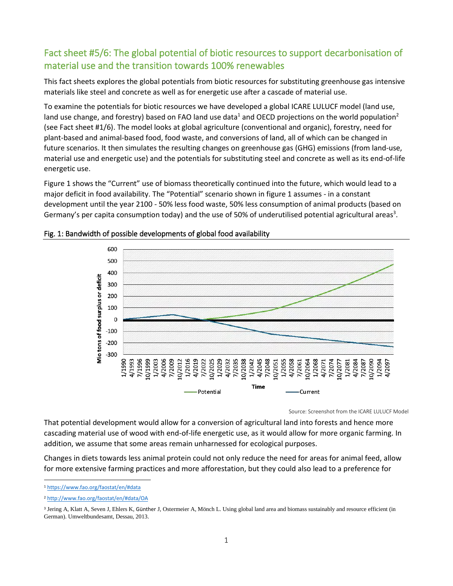## Fact sheet #5/6: The global potential of biotic resources to support decarbonisation of material use and the transition towards 100% renewables

This fact sheets explores the global potentials from biotic resources for substituting greenhouse gas intensive materials like steel and concrete as well as for energetic use after a cascade of material use.

To examine the potentials for biotic resources we have developed a global ICARE LULUCF model (land use, land use change, and forestry) based on FAO land use data<sup>1</sup> and OECD projections on the world population<sup>2</sup> (see Fact sheet #1/6). The model looks at global agriculture (conventional and organic), forestry, need for plant-based and animal-based food, food waste, and conversions of land, all of which can be changed in future scenarios. It then simulates the resulting changes on greenhouse gas (GHG) emissions (from land-use, material use and energetic use) and the potentials for substituting steel and concrete as well as its end-of-life energetic use.

Figure 1 shows the "Current" use of biomass theoretically continued into the future, which would lead to a major deficit in food availability. The "Potential" scenario shown in figure 1 assumes - in a constant development until the year 2100 - 50% less food waste, 50% less consumption of animal products (based on Germany's per capita consumption today) and the use of 50% of underutilised potential agricultural areas<sup>3</sup>.



## Fig. 1: Bandwidth of possible developments of global food availability

Source: Screenshot from the ICARE LULUCF Model

That potential development would allow for a conversion of agricultural land into forests and hence more cascading material use of wood with end-of-life energetic use, as it would allow for more organic farming. In addition, we assume that some areas remain unharnessed for ecological purposes.

Changes in diets towards less animal protein could not only reduce the need for areas for animal feed, allow for more extensive farming practices and more afforestation, but they could also lead to a preference for

<sup>1</sup> <https://www.fao.org/faostat/en/#data>

<sup>2</sup> <http://www.fao.org/faostat/en/#data/OA>

<sup>&</sup>lt;sup>3</sup> Jering A, Klatt A, Seven J, Ehlers K, Günther J, Ostermeier A, Mönch L. Using global land area and biomass sustainably and resource efficient (in German). Umweltbundesamt, Dessau, 2013.